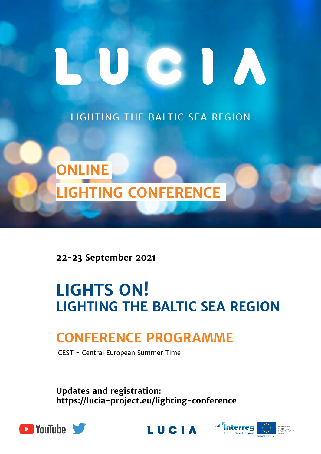# CIU A

LIGHTING THE BALTIC SEA REGION



**22-23 September 2021** 

# **LIGHTS ON! LIGHTING THE BALTIC SEA REGION**

## **conference programme**

CEST - Central European Summer Time

**Updates and registration: [https://lucia-project.eu/lighting-conference](https://lucia-project.eu)**





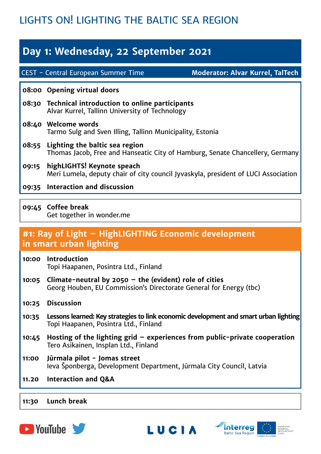## LIGHTS ON! LIGHTING THE BALTIC SEA REGION

## **Day 1: Wednesday, 22 September 2021**

CEST - Central European Summer Time

**Moderator: Alvar Kurrel, TalTech**

#### **08:00 Opening virtual doors**

- **08:30 Technical introduction to online participants** Alvar Kurrel, Tallinn University of Technology
- **08:40 Welcome words** Tarmo Sulg and Sven Illing, Tallinn Municipality, Estonia
- **08:55 Lighting the baltic sea region** Thomas Jacob, Free and Hanseatic City of Hamburg, Senate Chancellery, Germany
- **09:15 highLIGHTS! Keynote speach** Meri Lumela, deputy chair of city council Jyvaskyla, president of LUCI Association
- **09:35 Interaction and discussion**
- **09:45 Coffee break** Get together in wonder.me

# **#1: Ray of Light – HighLIGHTING Economic development**

#### **in smart urban lighting**

- **10:00 Introduction** Topi Haapanen, Posintra Ltd., Finland
- **10:05 Climate-neutral by 2050 the (evident) role of cities** Georg Houben, EU Commission's Directorate General for Energy (tbc)
- **10:25 Discussion**
- **10:35 Lessons learned: Key strategies to link economic development and smart urban lighting** Topi Haapanen, Posintra Ltd., Finland
- **10:45 Hosting of the lighting grid experiences from public-private cooperation** Tero Asikainen, Insplan Ltd., Finland
- **11:00 Jūrmala pilot - Jomas street** Ieva Šponberga, Development Department, Jūrmala City Council, Latvia
- **11.20 Interaction and Q&A**

#### **11:30 Lunch break**





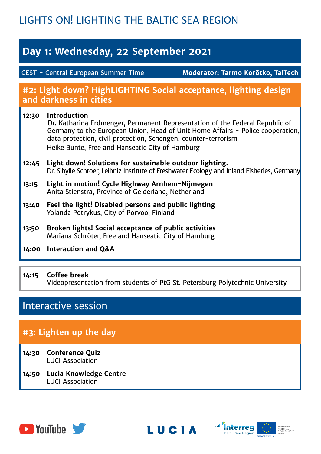## LIGHTS ON! LIGHTING THE BALTIC SEA REGION

## **Day 1: Wednesday, 22 September 2021**

CEST - Central European Summer Time

**Moderator: Tarmo Korõtko, TalTech**

#### **#2: Light down? HighLIGHTING Social acceptance, lighting design and darkness in cities**

#### **12:30 Introduction** Dr. Katharina Erdmenger, Permanent Representation of the Federal Republic of Germany to the European Union, Head of Unit Home Affairs - Police cooperation, data protection, civil protection, Schengen, counter-terrorism Heike Bunte, Free and Hanseatic City of Hamburg **12:45 Light down! Solutions for sustainable outdoor lighting.**

## Dr. Sibylle Schroer, Leibniz Institute of Freshwater Ecology and Inland Fisheries, Germany

- **13:15 Light in motion! Cycle Highway Arnhem-Nijmegen**  Anita Stienstra, Province of Gelderland, Netherland
- **13:40 Feel the light! Disabled persons and public lighting**  Yolanda Potrykus, City of Porvoo, Finland
- **13:50 Broken lights! Social acceptance of public activities** Mariana Schröter, Free and Hanseatic City of Hamburg
- **14:00 Interaction and Q&A**

#### **14:15 Coffee break** Videopresentation from students of PtG St. Petersburg Polytechnic University

## Interactive session

### **#3: Lighten up the day**

- **14:30 Conference Quiz** LUCI Association
- **14:50 Lucia Knowledge Centre** LUCI Association





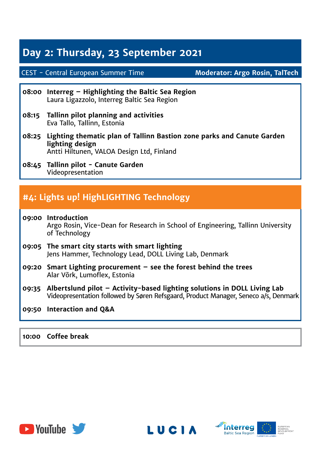## **Day 2: Thursday, 23 September 2021**

#### CEST - Central European Summer Time

**Moderator: Argo Rosin, TalTech**

- **08:00 Interreg Highlighting the Baltic Sea Region** Laura Ligazzolo, Interreg Baltic Sea Region
- **08:15 Tallinn pilot planning and activities** Eva Tallo, Tallinn, Estonia
- **08:25 Lighting thematic plan of Tallinn Bastion zone parks and Canute Garden lighting design** Antti Hiltunen, VALOA Design Ltd, Finland
- **08:45 Tallinn pilot Canute Garden** Videopresentation

#### **#4: Lights up! HighLIGHTING Technology**

- **09:00 Introduction** Argo Rosin, Vice-Dean for Research in School of Engineering, Tallinn University of Technology **09:05 The smart city starts with smart lighting** Jens Hammer, Technology Lead, DOLL Living Lab, Denmark **09:20 Smart Lighting procurement – see the forest behind the trees** Alar Võrk, Lumoflex, Estonia **09:35 Albertslund pilot – Activity-based lighting solutions in DOLL Living Lab** Videopresentation followed by Søren Refsgaard, Product Manager, Seneco a/s, Denmark
- **09:50 Interaction and Q&A**

**10:00 Coffee break**